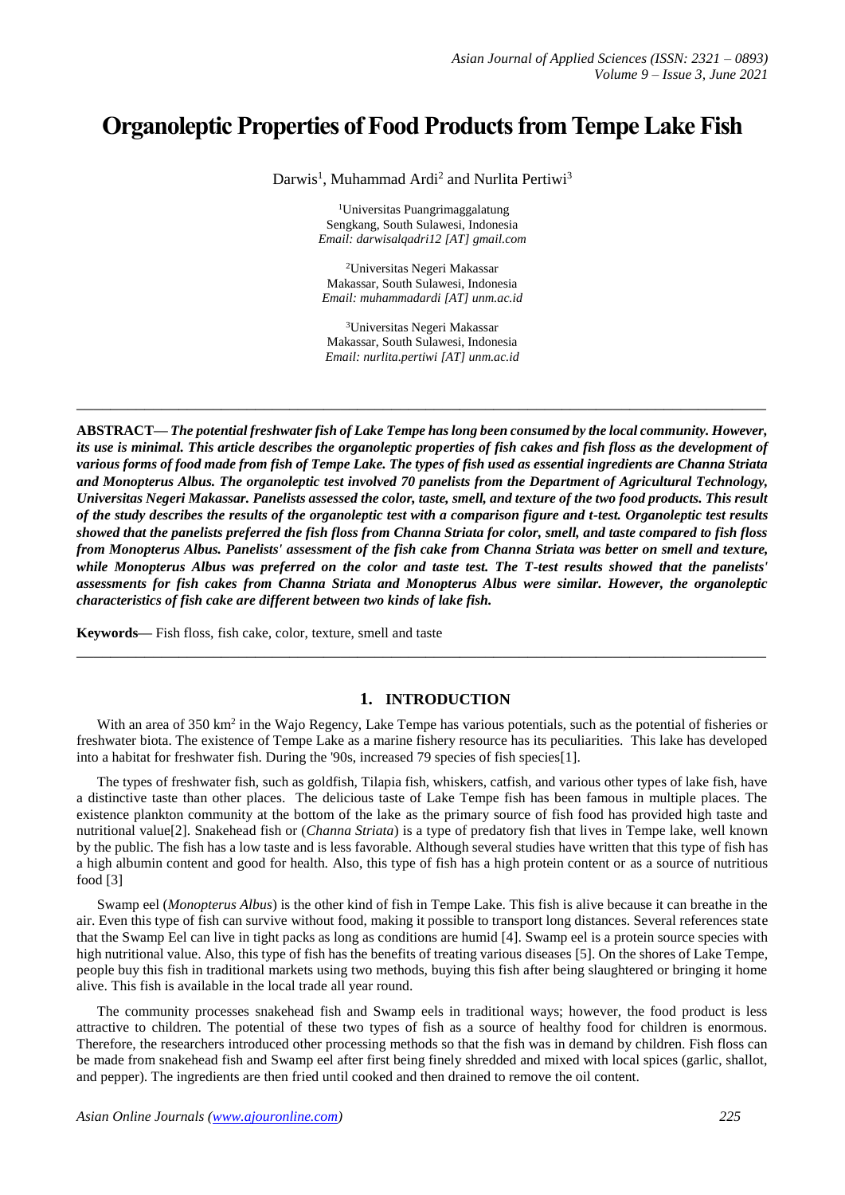# **Organoleptic Properties of Food Products from Tempe Lake Fish**

Darwis<sup>1</sup>, Muhammad Ardi<sup>2</sup> and Nurlita Pertiwi<sup>3</sup>

<sup>1</sup>Universitas Puangrimaggalatung Sengkang, South Sulawesi, Indonesia *Email: darwisalqadri12 [AT] gmail.com*

<sup>2</sup>Universitas Negeri Makassar Makassar, South Sulawesi, Indonesia *Email: muhammadardi [AT] unm.ac.id*

<sup>3</sup>Universitas Negeri Makassar Makassar, South Sulawesi, Indonesia *Email: nurlita.pertiwi [AT] unm.ac.id*

**\_\_\_\_\_\_\_\_\_\_\_\_\_\_\_\_\_\_\_\_\_\_\_\_\_\_\_\_\_\_\_\_\_\_\_\_\_\_\_\_\_\_\_\_\_\_\_\_\_\_\_\_\_\_\_\_\_\_\_\_\_\_\_\_\_\_\_\_\_\_\_\_\_\_\_\_\_\_\_\_\_**

**ABSTRACT—** *The potential freshwater fish of Lake Tempe has long been consumed by the local community. However, its use is minimal. This article describes the organoleptic properties of fish cakes and fish floss as the development of various forms of food made from fish of Tempe Lake. The types of fish used as essential ingredients are Channa Striata and Monopterus Albus. The organoleptic test involved 70 panelists from the Department of Agricultural Technology, Universitas Negeri Makassar. Panelists assessed the color, taste, smell, and texture of the two food products. This result of the study describes the results of the organoleptic test with a comparison figure and t-test. Organoleptic test results showed that the panelists preferred the fish floss from Channa Striata for color, smell, and taste compared to fish floss from Monopterus Albus. Panelists' assessment of the fish cake from Channa Striata was better on smell and texture, while Monopterus Albus was preferred on the color and taste test. The T-test results showed that the panelists' assessments for fish cakes from Channa Striata and Monopterus Albus were similar. However, the organoleptic characteristics of fish cake are different between two kinds of lake fish.*

**Keywords—** Fish floss, fish cake, color, texture, smell and taste

#### **1. INTRODUCTION**

With an area of 350 km<sup>2</sup> in the Wajo Regency, Lake Tempe has various potentials, such as the potential of fisheries or freshwater biota. The existence of Tempe Lake as a marine fishery resource has its peculiarities. This lake has developed into a habitat for freshwater fish. During the '90s, increased 79 species of fish species[1].

**\_\_\_\_\_\_\_\_\_\_\_\_\_\_\_\_\_\_\_\_\_\_\_\_\_\_\_\_\_\_\_\_\_\_\_\_\_\_\_\_\_\_\_\_\_\_\_\_\_\_\_\_\_\_\_\_\_\_\_\_\_\_\_\_\_\_\_\_\_\_\_\_\_\_\_\_\_\_\_\_\_**

The types of freshwater fish, such as goldfish, Tilapia fish, whiskers, catfish, and various other types of lake fish, have a distinctive taste than other places. The delicious taste of Lake Tempe fish has been famous in multiple places. The existence plankton community at the bottom of the lake as the primary source of fish food has provided high taste and nutritional value[2]. Snakehead fish or (*Channa Striata*) is a type of predatory fish that lives in Tempe lake, well known by the public. The fish has a low taste and is less favorable. Although several studies have written that this type of fish has a high albumin content and good for health. Also, this type of fish has a high protein content or as a source of nutritious food [3]

Swamp eel (*Monopterus Albus*) is the other kind of fish in Tempe Lake. This fish is alive because it can breathe in the air. Even this type of fish can survive without food, making it possible to transport long distances. Several references state that the Swamp Eel can live in tight packs as long as conditions are humid [4]. Swamp eel is a protein source species with high nutritional value. Also, this type of fish has the benefits of treating various diseases [5]. On the shores of Lake Tempe, people buy this fish in traditional markets using two methods, buying this fish after being slaughtered or bringing it home alive. This fish is available in the local trade all year round.

The community processes snakehead fish and Swamp eels in traditional ways; however, the food product is less attractive to children. The potential of these two types of fish as a source of healthy food for children is enormous. Therefore, the researchers introduced other processing methods so that the fish was in demand by children. Fish floss can be made from snakehead fish and Swamp eel after first being finely shredded and mixed with local spices (garlic, shallot, and pepper). The ingredients are then fried until cooked and then drained to remove the oil content.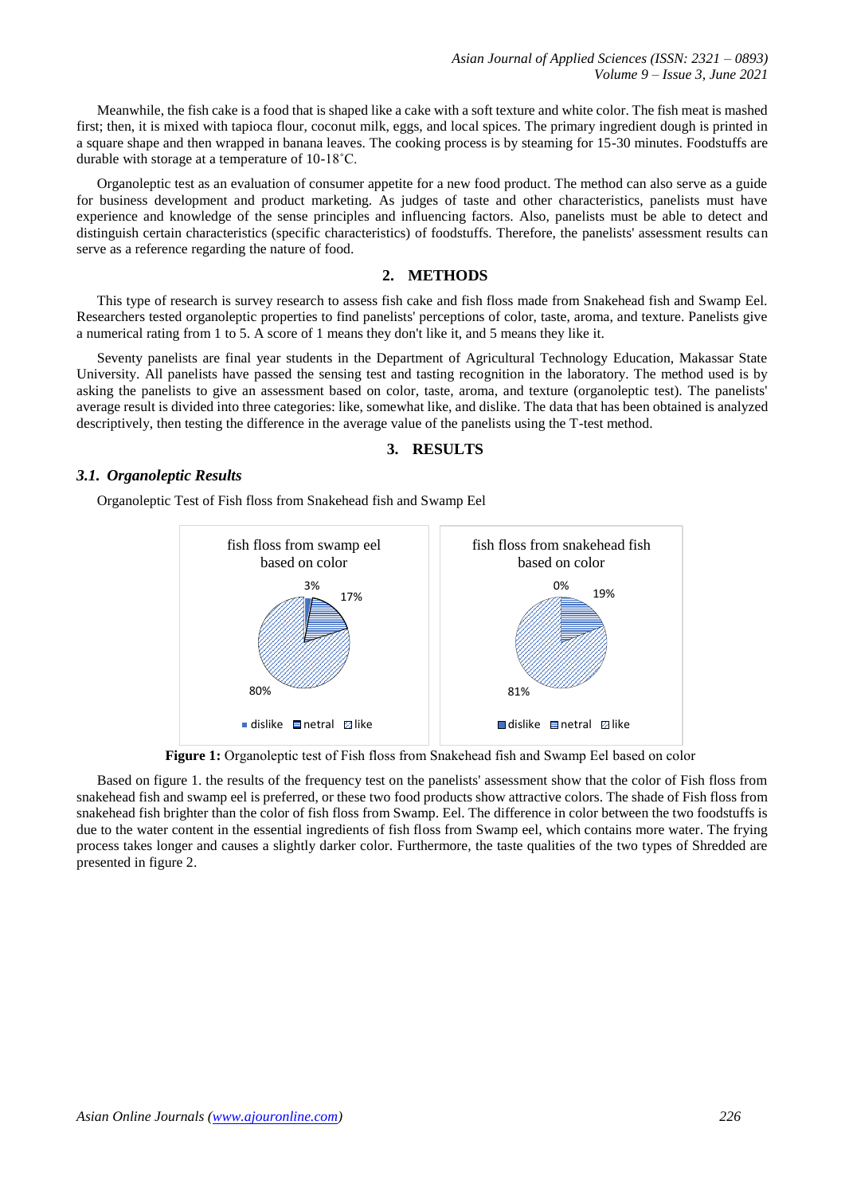*Asian Journal of Applied Sciences (ISSN: 2321 – 0893) Volume 9 – Issue 3, June 2021*

Meanwhile, the fish cake is a food that is shaped like a cake with a soft texture and white color. The fish meat is mashed first; then, it is mixed with tapioca flour, coconut milk, eggs, and local spices. The primary ingredient dough is printed in a square shape and then wrapped in banana leaves. The cooking process is by steaming for 15-30 minutes. Foodstuffs are durable with storage at a temperature of 10-18˚C.

Organoleptic test as an evaluation of consumer appetite for a new food product. The method can also serve as a guide for business development and product marketing. As judges of taste and other characteristics, panelists must have experience and knowledge of the sense principles and influencing factors. Also, panelists must be able to detect and distinguish certain characteristics (specific characteristics) of foodstuffs. Therefore, the panelists' assessment results can serve as a reference regarding the nature of food.

## **2. METHODS**

This type of research is survey research to assess fish cake and fish floss made from Snakehead fish and Swamp Eel. Researchers tested organoleptic properties to find panelists' perceptions of color, taste, aroma, and texture. Panelists give a numerical rating from 1 to 5. A score of 1 means they don't like it, and 5 means they like it.

Seventy panelists are final year students in the Department of Agricultural Technology Education, Makassar State University. All panelists have passed the sensing test and tasting recognition in the laboratory. The method used is by asking the panelists to give an assessment based on color, taste, aroma, and texture (organoleptic test). The panelists' average result is divided into three categories: like, somewhat like, and dislike. The data that has been obtained is analyzed descriptively, then testing the difference in the average value of the panelists using the T-test method.



### *3.1. Organoleptic Results*

Organoleptic Test of Fish floss from Snakehead fish and Swamp Eel



**Figure 1:** Organoleptic test of Fish floss from Snakehead fish and Swamp Eel based on color

Based on figure 1. the results of the frequency test on the panelists' assessment show that the color of Fish floss from snakehead fish and swamp eel is preferred, or these two food products show attractive colors. The shade of Fish floss from snakehead fish brighter than the color of fish floss from Swamp. Eel. The difference in color between the two foodstuffs is due to the water content in the essential ingredients of fish floss from Swamp eel, which contains more water. The frying process takes longer and causes a slightly darker color. Furthermore, the taste qualities of the two types of Shredded are presented in figure 2.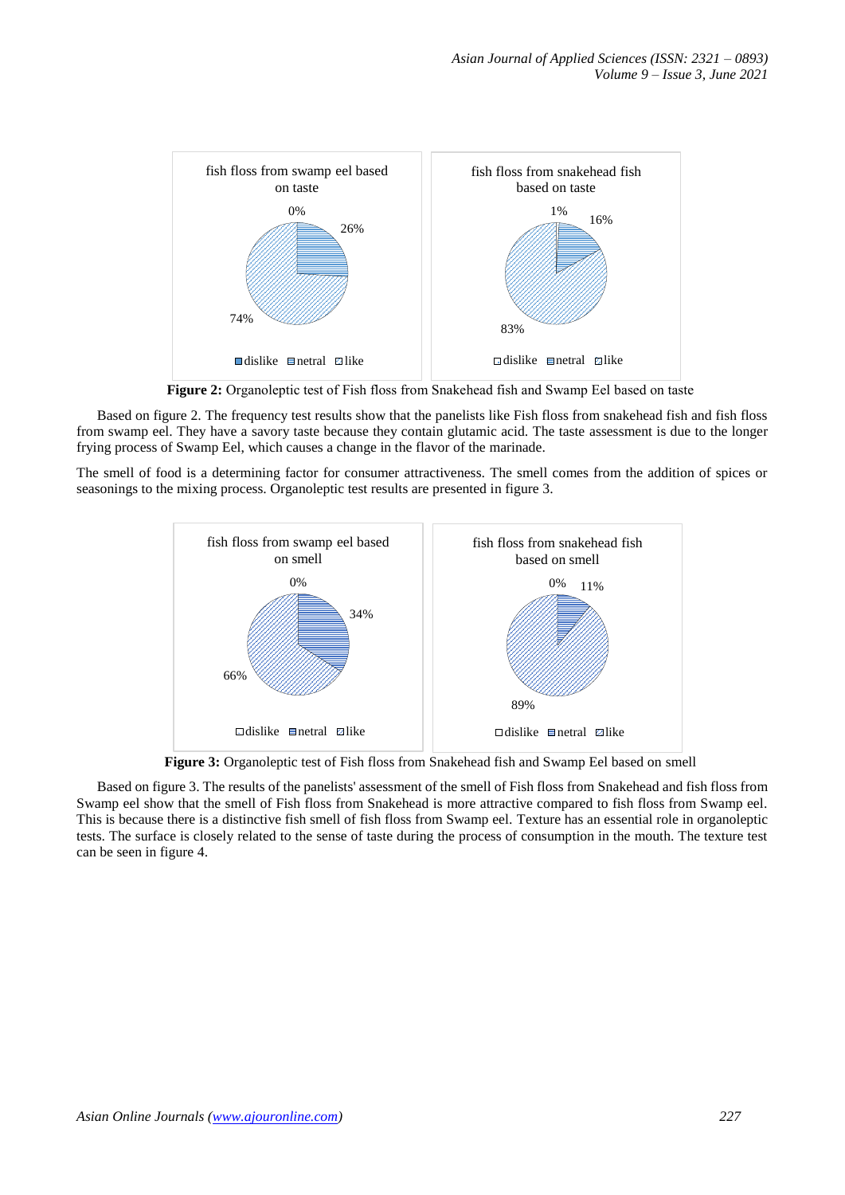

**Figure 2:** Organoleptic test of Fish floss from Snakehead fish and Swamp Eel based on taste

Based on figure 2. The frequency test results show that the panelists like Fish floss from snakehead fish and fish floss from swamp eel. They have a savory taste because they contain glutamic acid. The taste assessment is due to the longer frying process of Swamp Eel, which causes a change in the flavor of the marinade.

The smell of food is a determining factor for consumer attractiveness. The smell comes from the addition of spices or seasonings to the mixing process. Organoleptic test results are presented in figure 3.



**Figure 3:** Organoleptic test of Fish floss from Snakehead fish and Swamp Eel based on smell

Based on figure 3. The results of the panelists' assessment of the smell of Fish floss from Snakehead and fish floss from Swamp eel show that the smell of Fish floss from Snakehead is more attractive compared to fish floss from Swamp eel. This is because there is a distinctive fish smell of fish floss from Swamp eel. Texture has an essential role in organoleptic tests. The surface is closely related to the sense of taste during the process of consumption in the mouth. The texture test can be seen in figure 4.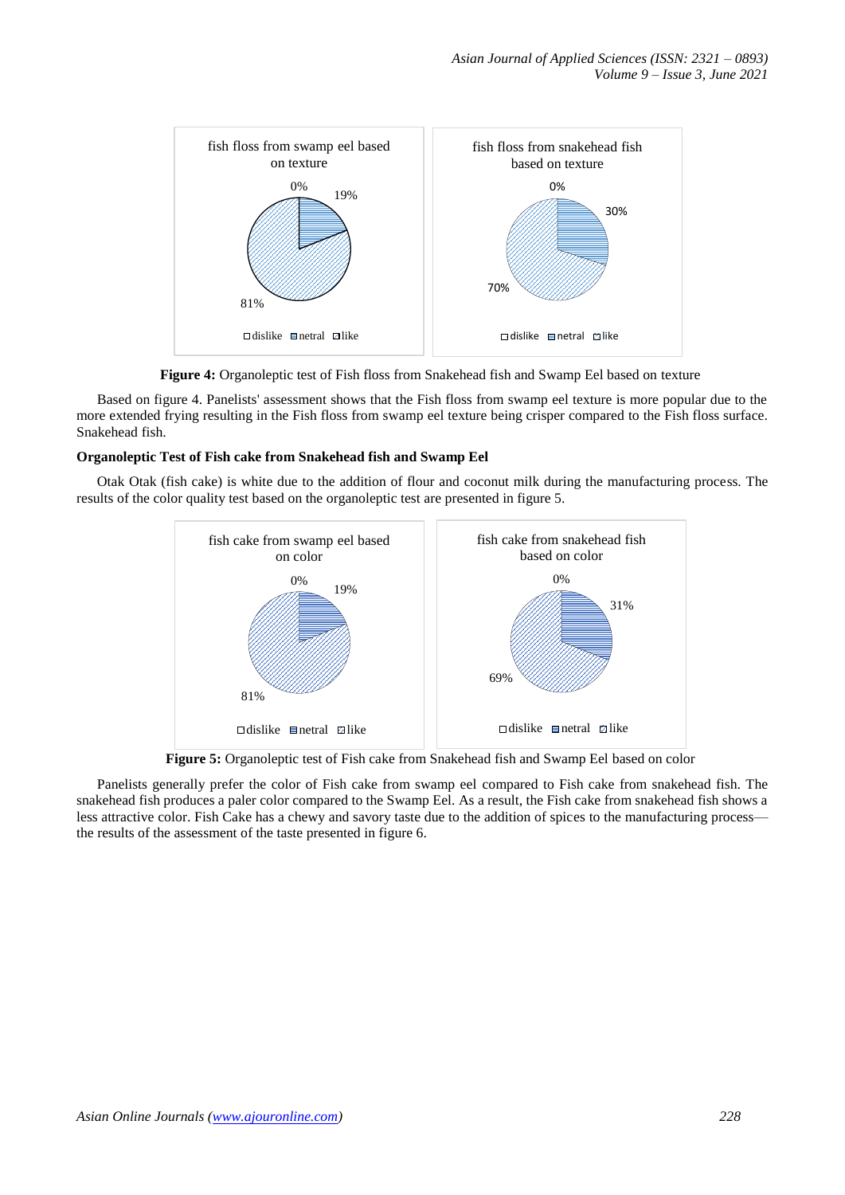

**Figure 4:** Organoleptic test of Fish floss from Snakehead fish and Swamp Eel based on texture

Based on figure 4. Panelists' assessment shows that the Fish floss from swamp eel texture is more popular due to the more extended frying resulting in the Fish floss from swamp eel texture being crisper compared to the Fish floss surface. Snakehead fish.

## **Organoleptic Test of Fish cake from Snakehead fish and Swamp Eel**

Otak Otak (fish cake) is white due to the addition of flour and coconut milk during the manufacturing process. The results of the color quality test based on the organoleptic test are presented in figure 5.



**Figure 5:** Organoleptic test of Fish cake from Snakehead fish and Swamp Eel based on color

Panelists generally prefer the color of Fish cake from swamp eel compared to Fish cake from snakehead fish. The snakehead fish produces a paler color compared to the Swamp Eel. As a result, the Fish cake from snakehead fish shows a less attractive color. Fish Cake has a chewy and savory taste due to the addition of spices to the manufacturing process the results of the assessment of the taste presented in figure 6.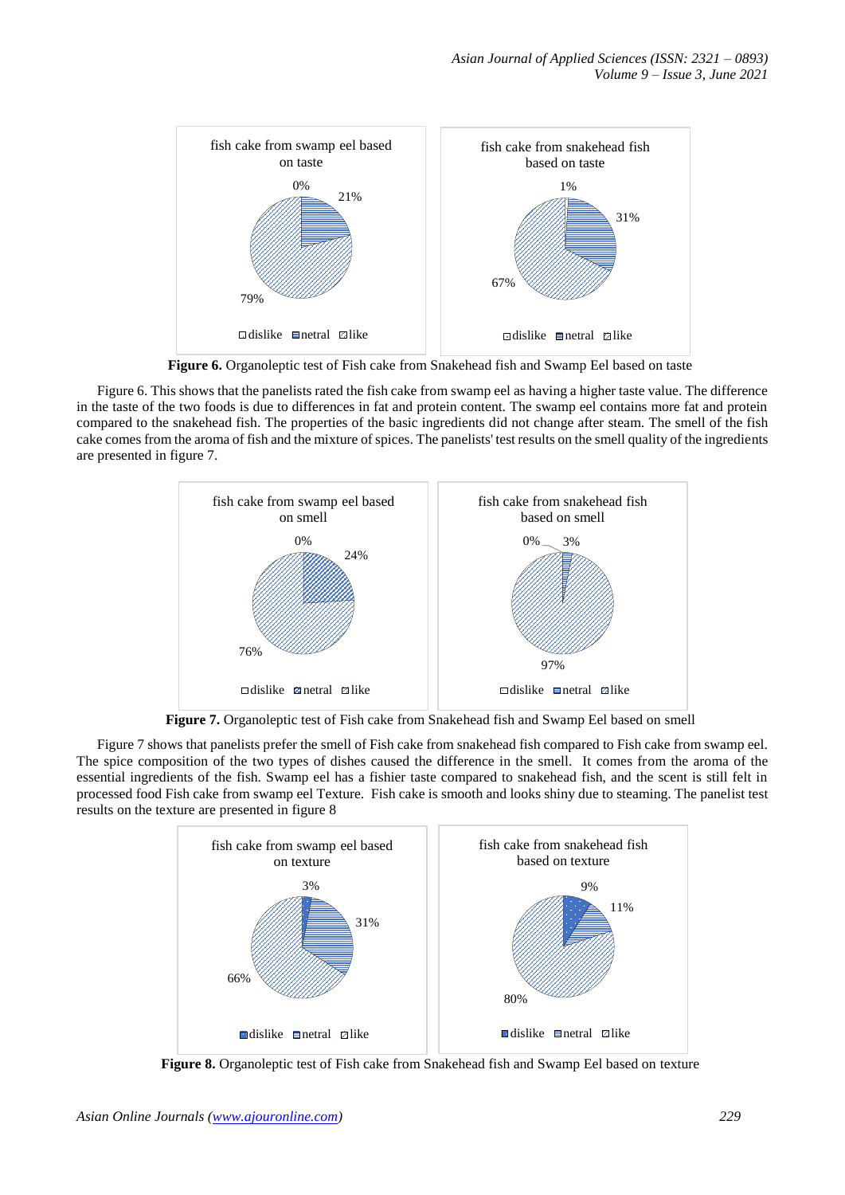

**Figure 6.** Organoleptic test of Fish cake from Snakehead fish and Swamp Eel based on taste

Figure 6. This shows that the panelists rated the fish cake from swamp eel as having a higher taste value. The difference in the taste of the two foods is due to differences in fat and protein content. The swamp eel contains more fat and protein compared to the snakehead fish. The properties of the basic ingredients did not change after steam. The smell of the fish cake comes from the aroma of fish and the mixture of spices. The panelists' test results on the smell quality of the ingredients are presented in figure 7.



**Figure 7.** Organoleptic test of Fish cake from Snakehead fish and Swamp Eel based on smell

Figure 7 shows that panelists prefer the smell of Fish cake from snakehead fish compared to Fish cake from swamp eel. The spice composition of the two types of dishes caused the difference in the smell. It comes from the aroma of the essential ingredients of the fish. Swamp eel has a fishier taste compared to snakehead fish, and the scent is still felt in processed food Fish cake from swamp eel Texture. Fish cake is smooth and looks shiny due to steaming. The panelist test results on the texture are presented in figure 8



**Figure 8.** Organoleptic test of Fish cake from Snakehead fish and Swamp Eel based on texture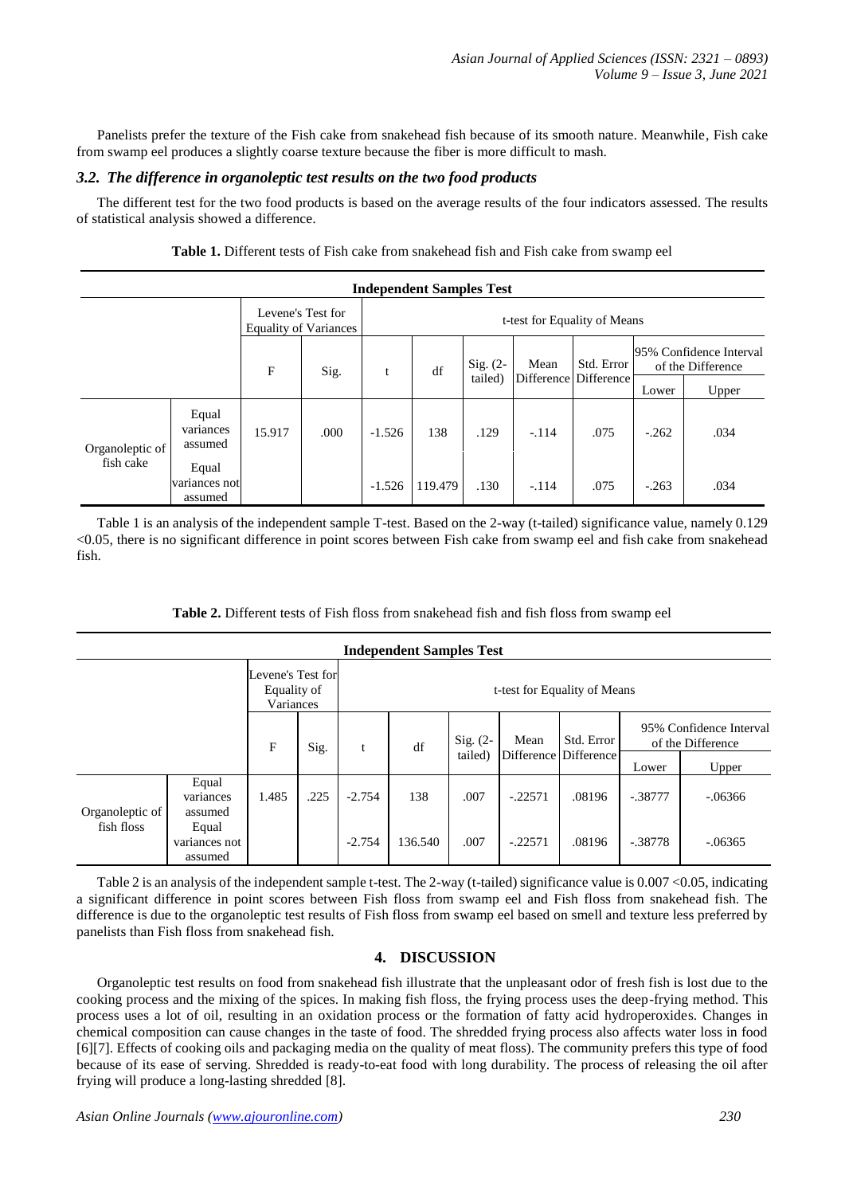Panelists prefer the texture of the Fish cake from snakehead fish because of its smooth nature. Meanwhile, Fish cake from swamp eel produces a slightly coarse texture because the fiber is more difficult to mash.

## *3.2. The difference in organoleptic test results on the two food products*

The different test for the two food products is based on the average results of the four indicators assessed. The results of statistical analysis showed a difference.

| <b>Independent Samples Test</b> |                                   |                                            |      |                              |         |                       |         |                                     |                                              |       |  |
|---------------------------------|-----------------------------------|--------------------------------------------|------|------------------------------|---------|-----------------------|---------|-------------------------------------|----------------------------------------------|-------|--|
|                                 |                                   | Levene's Test for<br>Equality of Variances |      | t-test for Equality of Means |         |                       |         |                                     |                                              |       |  |
|                                 |                                   | $\mathbf{F}$                               | Sig. | t                            | df      | $Sig. (2-$<br>tailed) | Mean    | Std. Error<br>Difference Difference | 95% Confidence Interval<br>of the Difference |       |  |
|                                 |                                   |                                            |      |                              |         |                       |         |                                     | Lower                                        | Upper |  |
| Organoleptic of<br>fish cake    | Equal<br>variances<br>assumed     | 15.917                                     | .000 | $-1.526$                     | 138     | .129                  | $-.114$ | .075                                | $-.262$                                      | .034  |  |
|                                 | Equal<br>variances not<br>assumed |                                            |      | $-1.526$                     | 119.479 | .130                  | $-.114$ | .075                                | $-.263$                                      | .034  |  |

**Table 1.** Different tests of Fish cake from snakehead fish and Fish cake from swamp eel

Table 1 is an analysis of the independent sample T-test. Based on the 2-way (t-tailed) significance value, namely 0.129 <0.05, there is no significant difference in point scores between Fish cake from swamp eel and fish cake from snakehead fish.

| <b>Independent Samples Test</b> |                                               |       |                              |          |         |                       |           |                                     |                    |                                              |  |  |
|---------------------------------|-----------------------------------------------|-------|------------------------------|----------|---------|-----------------------|-----------|-------------------------------------|--------------------|----------------------------------------------|--|--|
|                                 | Levene's Test for<br>Equality of<br>Variances |       | t-test for Equality of Means |          |         |                       |           |                                     |                    |                                              |  |  |
|                                 |                                               | F     | Sig.                         |          | df      | Sig. $(2-$<br>tailed) | Mean      | Std. Error<br>Difference Difference |                    | 95% Confidence Interval<br>of the Difference |  |  |
| Organoleptic of<br>fish floss   | Equal                                         | 1.485 | .225                         | $-2.754$ | 138     | .007                  | $-.22571$ | .08196                              | Lower<br>$-.38777$ | Upper<br>$-.06366$                           |  |  |
|                                 | variances<br>assumed                          |       |                              |          |         |                       |           |                                     |                    |                                              |  |  |
|                                 | Equal<br>variances not<br>assumed             |       |                              | $-2.754$ | 136.540 | .007                  | $-.22571$ | .08196                              | $-.38778$          | $-.06365$                                    |  |  |

#### **Table 2.** Different tests of Fish floss from snakehead fish and fish floss from swamp eel

Table 2 is an analysis of the independent sample t-test. The 2-way (t-tailed) significance value is 0.007 <0.05, indicating a significant difference in point scores between Fish floss from swamp eel and Fish floss from snakehead fish. The difference is due to the organoleptic test results of Fish floss from swamp eel based on smell and texture less preferred by panelists than Fish floss from snakehead fish.

## **4. DISCUSSION**

Organoleptic test results on food from snakehead fish illustrate that the unpleasant odor of fresh fish is lost due to the cooking process and the mixing of the spices. In making fish floss, the frying process uses the deep-frying method. This process uses a lot of oil, resulting in an oxidation process or the formation of fatty acid hydroperoxides. Changes in chemical composition can cause changes in the taste of food. The shredded frying process also affects water loss in food [6][7]. Effects of cooking oils and packaging media on the quality of meat floss). The community prefers this type of food because of its ease of serving. Shredded is ready-to-eat food with long durability. The process of releasing the oil after frying will produce a long-lasting shredded [8].